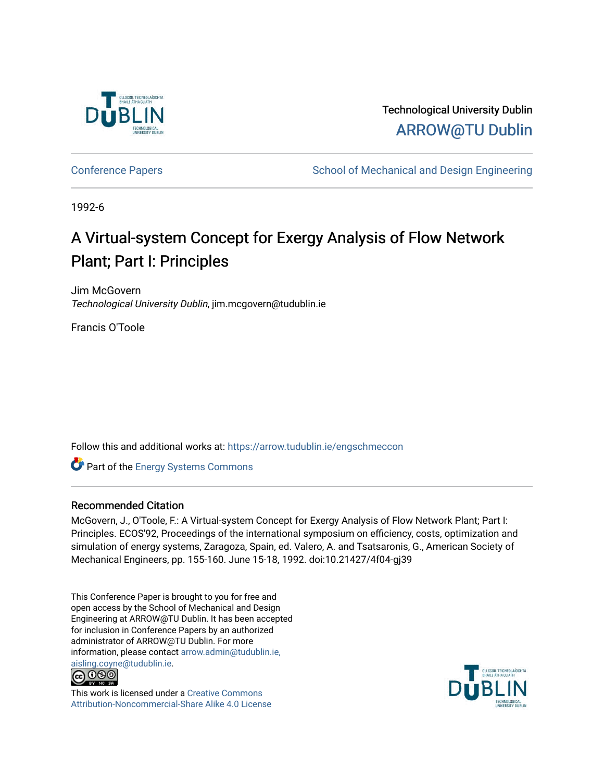

Technological University Dublin [ARROW@TU Dublin](https://arrow.tudublin.ie/) 

[Conference Papers](https://arrow.tudublin.ie/engschmeccon) **School of Mechanical and Design Engineering** School of Mechanical and Design Engineering

1992-6

# A Virtual-system Concept for Exergy Analysis of Flow Network Plant; Part I: Principles

Jim McGovern Technological University Dublin, jim.mcgovern@tudublin.ie

Francis O'Toole

Follow this and additional works at: [https://arrow.tudublin.ie/engschmeccon](https://arrow.tudublin.ie/engschmeccon?utm_source=arrow.tudublin.ie%2Fengschmeccon%2F48&utm_medium=PDF&utm_campaign=PDFCoverPages) 

Part of the [Energy Systems Commons](http://network.bepress.com/hgg/discipline/299?utm_source=arrow.tudublin.ie%2Fengschmeccon%2F48&utm_medium=PDF&utm_campaign=PDFCoverPages) 

#### Recommended Citation

McGovern, J., O'Toole, F.: A Virtual-system Concept for Exergy Analysis of Flow Network Plant; Part I: Principles. ECOS'92, Proceedings of the international symposium on efficiency, costs, optimization and simulation of energy systems, Zaragoza, Spain, ed. Valero, A. and Tsatsaronis, G., American Society of Mechanical Engineers, pp. 155-160. June 15-18, 1992. doi:10.21427/4f04-gj39

This Conference Paper is brought to you for free and open access by the School of Mechanical and Design Engineering at ARROW@TU Dublin. It has been accepted for inclusion in Conference Papers by an authorized administrator of ARROW@TU Dublin. For more information, please contact [arrow.admin@tudublin.ie,](mailto:arrow.admin@tudublin.ie,%20aisling.coyne@tudublin.ie)  [aisling.coyne@tudublin.ie.](mailto:arrow.admin@tudublin.ie,%20aisling.coyne@tudublin.ie)<br>© 090



This work is licensed under a [Creative Commons](http://creativecommons.org/licenses/by-nc-sa/4.0/) [Attribution-Noncommercial-Share Alike 4.0 License](http://creativecommons.org/licenses/by-nc-sa/4.0/)

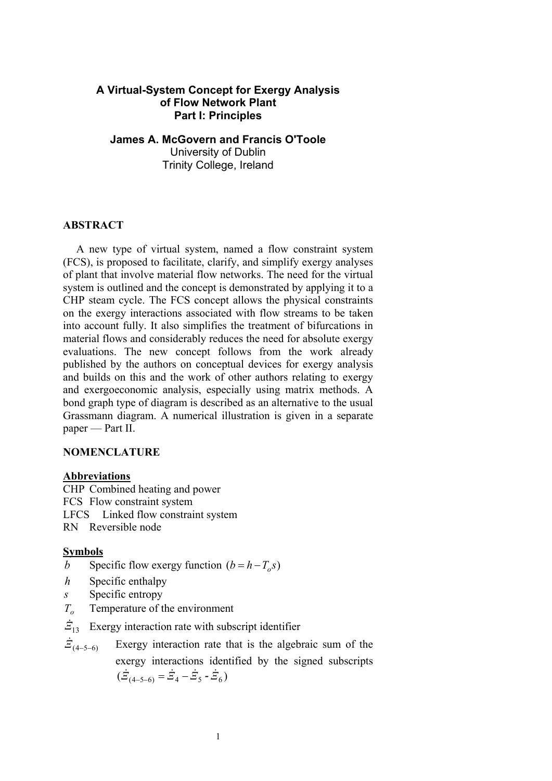# **A Virtual-System Concept for Exergy Analysis of Flow Network Plant Part I: Principles**

**James A. McGovern and Francis O'Toole**  University of Dublin Trinity College, Ireland

# **ABSTRACT**

A new type of virtual system, named a flow constraint system (FCS), is proposed to facilitate, clarify, and simplify exergy analyses of plant that involve material flow networks. The need for the virtual system is outlined and the concept is demonstrated by applying it to a CHP steam cycle. The FCS concept allows the physical constraints on the exergy interactions associated with flow streams to be taken into account fully. It also simplifies the treatment of bifurcations in material flows and considerably reduces the need for absolute exergy evaluations. The new concept follows from the work already published by the authors on conceptual devices for exergy analysis and builds on this and the work of other authors relating to exergy and exergoeconomic analysis, especially using matrix methods. A bond graph type of diagram is described as an alternative to the usual Grassmann diagram. A numerical illustration is given in a separate paper — Part II.

## **NOMENCLATURE**

### **Abbreviations**

CHP Combined heating and power FCS Flow constraint system LFCS Linked flow constraint system RN Reversible node

# **Symbols**

- *b* Specific flow exergy function  $(b = h T_o s)$
- *h* Specific enthalpy
- *s* Specific entropy
- *T<sub>o</sub>* Temperature of the environment

 $\dot{z}_{13}$  Exergy interaction rate with subscript identifier

 $\dot{Z}_{(4-5-6)}$  Exergy interaction rate that is the algebraic sum of the exergy interactions identified by the signed subscripts  $(\dot{E}_{(4-5-6)} = \dot{E}_4 - \dot{E}_5 - \dot{E}_6)$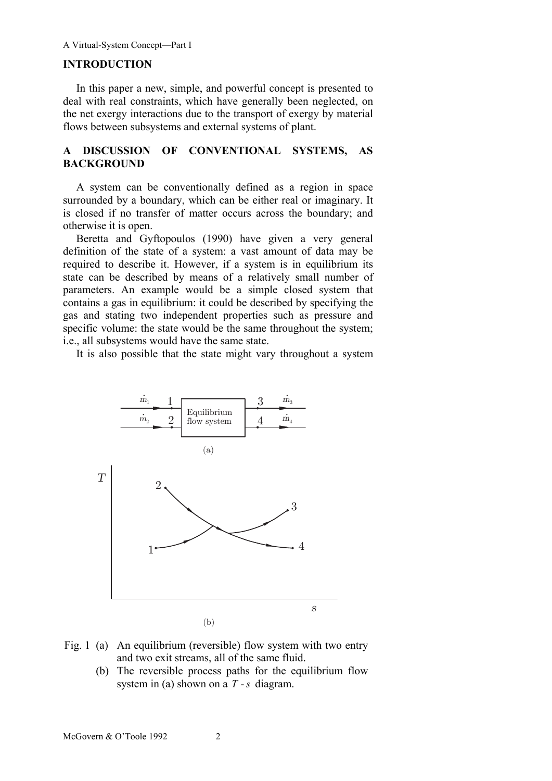#### **INTRODUCTION**

In this paper a new, simple, and powerful concept is presented to deal with real constraints, which have generally been neglected, on the net exergy interactions due to the transport of exergy by material flows between subsystems and external systems of plant.

## **A DISCUSSION OF CONVENTIONAL SYSTEMS, AS BACKGROUND**

A system can be conventionally defined as a region in space surrounded by a boundary, which can be either real or imaginary. It is closed if no transfer of matter occurs across the boundary; and otherwise it is open.

Beretta and Gyftopoulos (1990) have given a very general definition of the state of a system: a vast amount of data may be required to describe it. However, if a system is in equilibrium its state can be described by means of a relatively small number of parameters. An example would be a simple closed system that contains a gas in equilibrium: it could be described by specifying the gas and stating two independent properties such as pressure and specific volume: the state would be the same throughout the system; i.e., all subsystems would have the same state.

It is also possible that the state might vary throughout a system



- Fig. 1 (a) An equilibrium (reversible) flow system with two entry and two exit streams, all of the same fluid.
	- (b) The reversible process paths for the equilibrium flow system in (a) shown on a *T* -*s* diagram.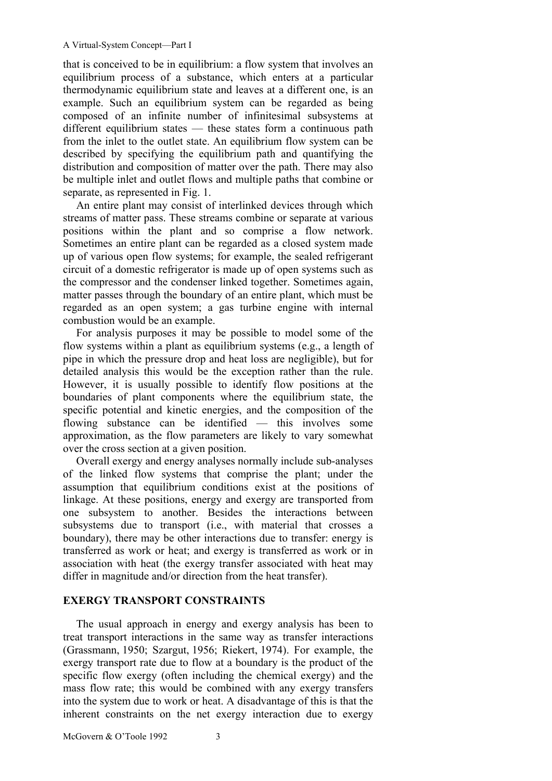that is conceived to be in equilibrium: a flow system that involves an equilibrium process of a substance, which enters at a particular thermodynamic equilibrium state and leaves at a different one, is an example. Such an equilibrium system can be regarded as being composed of an infinite number of infinitesimal subsystems at different equilibrium states — these states form a continuous path from the inlet to the outlet state. An equilibrium flow system can be described by specifying the equilibrium path and quantifying the distribution and composition of matter over the path. There may also be multiple inlet and outlet flows and multiple paths that combine or separate, as represented in Fig. 1.

An entire plant may consist of interlinked devices through which streams of matter pass. These streams combine or separate at various positions within the plant and so comprise a flow network. Sometimes an entire plant can be regarded as a closed system made up of various open flow systems; for example, the sealed refrigerant circuit of a domestic refrigerator is made up of open systems such as the compressor and the condenser linked together. Sometimes again, matter passes through the boundary of an entire plant, which must be regarded as an open system; a gas turbine engine with internal combustion would be an example.

For analysis purposes it may be possible to model some of the flow systems within a plant as equilibrium systems (e.g., a length of pipe in which the pressure drop and heat loss are negligible), but for detailed analysis this would be the exception rather than the rule. However, it is usually possible to identify flow positions at the boundaries of plant components where the equilibrium state, the specific potential and kinetic energies, and the composition of the flowing substance can be identified — this involves some approximation, as the flow parameters are likely to vary somewhat over the cross section at a given position.

Overall exergy and energy analyses normally include sub-analyses of the linked flow systems that comprise the plant; under the assumption that equilibrium conditions exist at the positions of linkage. At these positions, energy and exergy are transported from one subsystem to another. Besides the interactions between subsystems due to transport (i.e., with material that crosses a boundary), there may be other interactions due to transfer: energy is transferred as work or heat; and exergy is transferred as work or in association with heat (the exergy transfer associated with heat may differ in magnitude and/or direction from the heat transfer).

#### **EXERGY TRANSPORT CONSTRAINTS**

The usual approach in energy and exergy analysis has been to treat transport interactions in the same way as transfer interactions (Grassmann, 1950; Szargut, 1956; Riekert, 1974). For example, the exergy transport rate due to flow at a boundary is the product of the specific flow exergy (often including the chemical exergy) and the mass flow rate; this would be combined with any exergy transfers into the system due to work or heat. A disadvantage of this is that the inherent constraints on the net exergy interaction due to exergy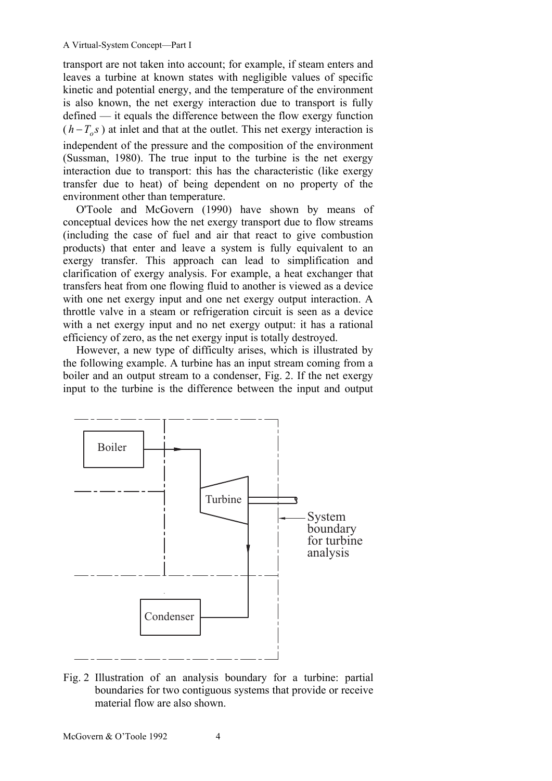transport are not taken into account; for example, if steam enters and leaves a turbine at known states with negligible values of specific kinetic and potential energy, and the temperature of the environment is also known, the net exergy interaction due to transport is fully defined — it equals the difference between the flow exergy function  $(h - T_o s)$  at inlet and that at the outlet. This net exergy interaction is independent of the pressure and the composition of the environment (Sussman, 1980). The true input to the turbine is the net exergy interaction due to transport: this has the characteristic (like exergy transfer due to heat) of being dependent on no property of the environment other than temperature.

O'Toole and McGovern (1990) have shown by means of conceptual devices how the net exergy transport due to flow streams (including the case of fuel and air that react to give combustion products) that enter and leave a system is fully equivalent to an exergy transfer. This approach can lead to simplification and clarification of exergy analysis. For example, a heat exchanger that transfers heat from one flowing fluid to another is viewed as a device with one net exergy input and one net exergy output interaction. A throttle valve in a steam or refrigeration circuit is seen as a device with a net exergy input and no net exergy output: it has a rational efficiency of zero, as the net exergy input is totally destroyed.

However, a new type of difficulty arises, which is illustrated by the following example. A turbine has an input stream coming from a boiler and an output stream to a condenser, Fig. 2. If the net exergy input to the turbine is the difference between the input and output



Fig. 2 Illustration of an analysis boundary for a turbine: partial boundaries for two contiguous systems that provide or receive material flow are also shown.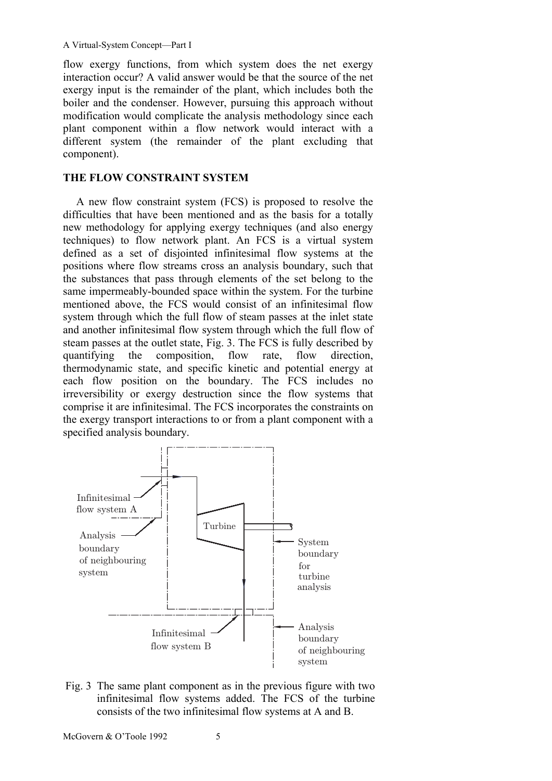flow exergy functions, from which system does the net exergy interaction occur? A valid answer would be that the source of the net exergy input is the remainder of the plant, which includes both the boiler and the condenser. However, pursuing this approach without modification would complicate the analysis methodology since each plant component within a flow network would interact with a different system (the remainder of the plant excluding that component).

#### **THE FLOW CONSTRAINT SYSTEM**

A new flow constraint system (FCS) is proposed to resolve the difficulties that have been mentioned and as the basis for a totally new methodology for applying exergy techniques (and also energy techniques) to flow network plant. An FCS is a virtual system defined as a set of disjointed infinitesimal flow systems at the positions where flow streams cross an analysis boundary, such that the substances that pass through elements of the set belong to the same impermeably-bounded space within the system. For the turbine mentioned above, the FCS would consist of an infinitesimal flow system through which the full flow of steam passes at the inlet state and another infinitesimal flow system through which the full flow of steam passes at the outlet state, Fig. 3. The FCS is fully described by quantifying the composition, flow rate, flow direction, thermodynamic state, and specific kinetic and potential energy at each flow position on the boundary. The FCS includes no irreversibility or exergy destruction since the flow systems that comprise it are infinitesimal. The FCS incorporates the constraints on the exergy transport interactions to or from a plant component with a specified analysis boundary.



Fig. 3 The same plant component as in the previous figure with two infinitesimal flow systems added. The FCS of the turbine consists of the two infinitesimal flow systems at A and B.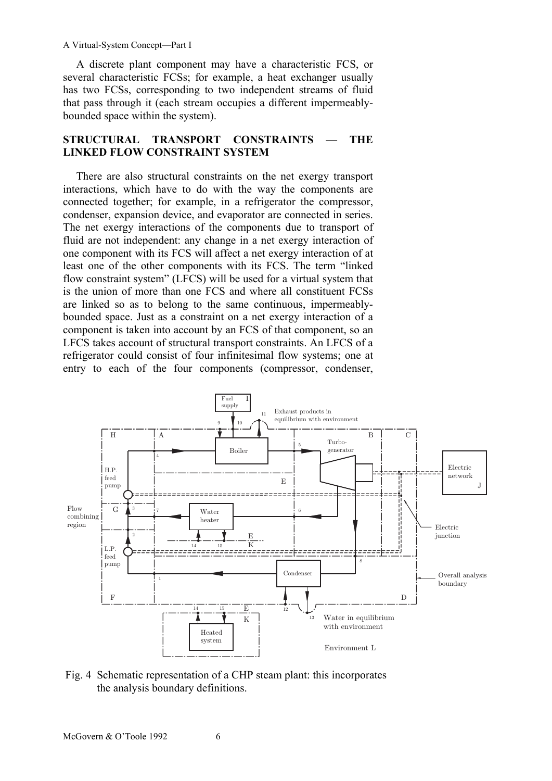A discrete plant component may have a characteristic FCS, or several characteristic FCSs; for example, a heat exchanger usually has two FCSs, corresponding to two independent streams of fluid that pass through it (each stream occupies a different impermeablybounded space within the system).

#### **STRUCTURAL TRANSPORT CONSTRAINTS — THE LINKED FLOW CONSTRAINT SYSTEM**

There are also structural constraints on the net exergy transport interactions, which have to do with the way the components are connected together; for example, in a refrigerator the compressor, condenser, expansion device, and evaporator are connected in series. The net exergy interactions of the components due to transport of fluid are not independent: any change in a net exergy interaction of one component with its FCS will affect a net exergy interaction of at least one of the other components with its FCS. The term "linked flow constraint system" (LFCS) will be used for a virtual system that is the union of more than one FCS and where all constituent FCSs are linked so as to belong to the same continuous, impermeablybounded space. Just as a constraint on a net exergy interaction of a component is taken into account by an FCS of that component, so an LFCS takes account of structural transport constraints. An LFCS of a refrigerator could consist of four infinitesimal flow systems; one at entry to each of the four components (compressor, condenser,



Fig. 4 Schematic representation of a CHP steam plant: this incorporates the analysis boundary definitions.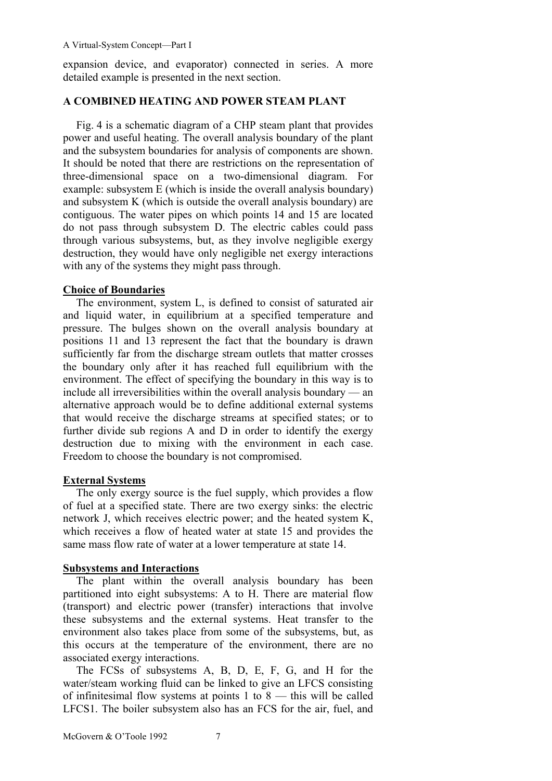expansion device, and evaporator) connected in series. A more detailed example is presented in the next section.

### **A COMBINED HEATING AND POWER STEAM PLANT**

Fig. 4 is a schematic diagram of a CHP steam plant that provides power and useful heating. The overall analysis boundary of the plant and the subsystem boundaries for analysis of components are shown. It should be noted that there are restrictions on the representation of three-dimensional space on a two-dimensional diagram. For example: subsystem E (which is inside the overall analysis boundary) and subsystem K (which is outside the overall analysis boundary) are contiguous. The water pipes on which points 14 and 15 are located do not pass through subsystem D. The electric cables could pass through various subsystems, but, as they involve negligible exergy destruction, they would have only negligible net exergy interactions with any of the systems they might pass through.

# **Choice of Boundaries**

The environment, system L, is defined to consist of saturated air and liquid water, in equilibrium at a specified temperature and pressure. The bulges shown on the overall analysis boundary at positions 11 and 13 represent the fact that the boundary is drawn sufficiently far from the discharge stream outlets that matter crosses the boundary only after it has reached full equilibrium with the environment. The effect of specifying the boundary in this way is to include all irreversibilities within the overall analysis boundary — an alternative approach would be to define additional external systems that would receive the discharge streams at specified states; or to further divide sub regions A and D in order to identify the exergy destruction due to mixing with the environment in each case. Freedom to choose the boundary is not compromised.

### **External Systems**

The only exergy source is the fuel supply, which provides a flow of fuel at a specified state. There are two exergy sinks: the electric network J, which receives electric power; and the heated system K, which receives a flow of heated water at state 15 and provides the same mass flow rate of water at a lower temperature at state 14.

### **Subsystems and Interactions**

The plant within the overall analysis boundary has been partitioned into eight subsystems: A to H. There are material flow (transport) and electric power (transfer) interactions that involve these subsystems and the external systems. Heat transfer to the environment also takes place from some of the subsystems, but, as this occurs at the temperature of the environment, there are no associated exergy interactions.

The FCSs of subsystems A, B, D, E, F, G, and H for the water/steam working fluid can be linked to give an LFCS consisting of infinitesimal flow systems at points 1 to 8 — this will be called LFCS1. The boiler subsystem also has an FCS for the air, fuel, and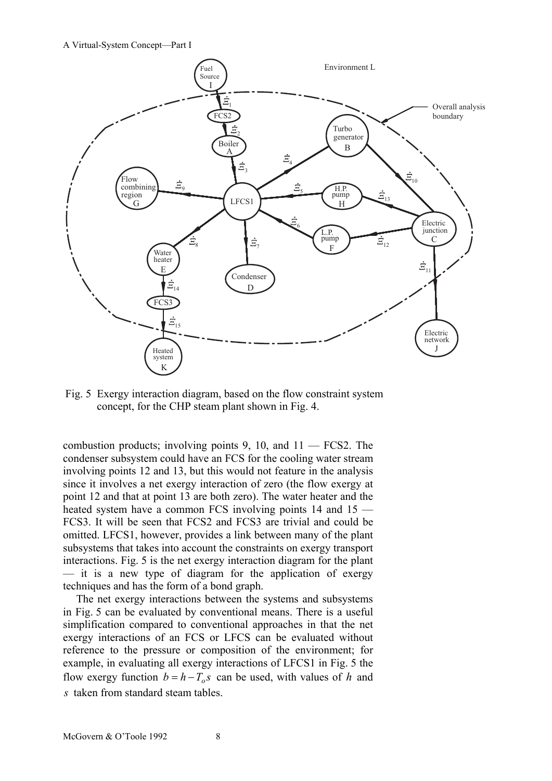

Fig. 5 Exergy interaction diagram, based on the flow constraint system concept, for the CHP steam plant shown in Fig. 4.

combustion products; involving points  $9, 10,$  and  $11$  — FCS2. The condenser subsystem could have an FCS for the cooling water stream involving points 12 and 13, but this would not feature in the analysis since it involves a net exergy interaction of zero (the flow exergy at point 12 and that at point 13 are both zero). The water heater and the heated system have a common FCS involving points 14 and 15 — FCS3. It will be seen that FCS2 and FCS3 are trivial and could be omitted. LFCS1, however, provides a link between many of the plant subsystems that takes into account the constraints on exergy transport interactions. Fig. 5 is the net exergy interaction diagram for the plant — it is a new type of diagram for the application of exergy techniques and has the form of a bond graph.

The net exergy interactions between the systems and subsystems in Fig. 5 can be evaluated by conventional means. There is a useful simplification compared to conventional approaches in that the net exergy interactions of an FCS or LFCS can be evaluated without reference to the pressure or composition of the environment; for example, in evaluating all exergy interactions of LFCS1 in Fig. 5 the flow exergy function  $b = h - T_a s$  can be used, with values of *h* and *s* taken from standard steam tables.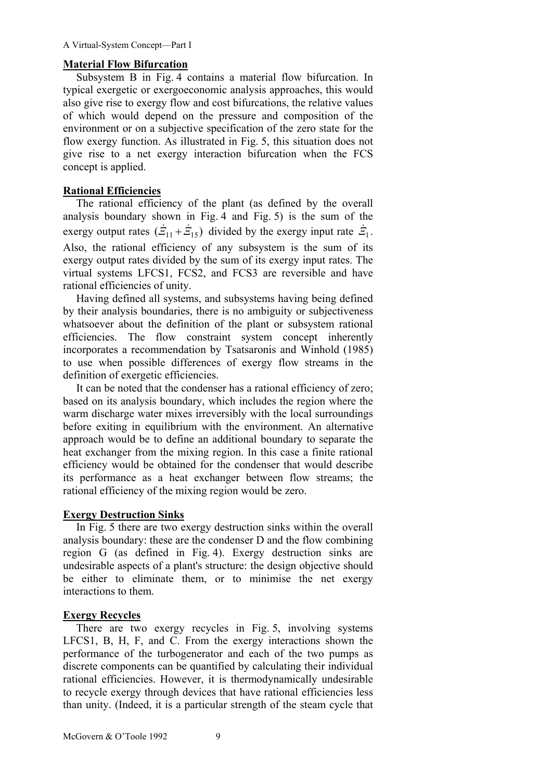#### **Material Flow Bifurcation**

Subsystem B in Fig. 4 contains a material flow bifurcation. In typical exergetic or exergoeconomic analysis approaches, this would also give rise to exergy flow and cost bifurcations, the relative values of which would depend on the pressure and composition of the environment or on a subjective specification of the zero state for the flow exergy function. As illustrated in Fig. 5, this situation does not give rise to a net exergy interaction bifurcation when the FCS concept is applied.

#### **Rational Efficiencies**

The rational efficiency of the plant (as defined by the overall analysis boundary shown in Fig. 4 and Fig. 5) is the sum of the exergy output rates  $(\dot{Z}_{11} + \dot{Z}_{15})$  divided by the exergy input rate  $\dot{Z}_1$ . Also, the rational efficiency of any subsystem is the sum of its exergy output rates divided by the sum of its exergy input rates. The virtual systems LFCS1, FCS2, and FCS3 are reversible and have rational efficiencies of unity.

Having defined all systems, and subsystems having being defined by their analysis boundaries, there is no ambiguity or subjectiveness whatsoever about the definition of the plant or subsystem rational efficiencies. The flow constraint system concept inherently incorporates a recommendation by Tsatsaronis and Winhold (1985) to use when possible differences of exergy flow streams in the definition of exergetic efficiencies.

It can be noted that the condenser has a rational efficiency of zero; based on its analysis boundary, which includes the region where the warm discharge water mixes irreversibly with the local surroundings before exiting in equilibrium with the environment. An alternative approach would be to define an additional boundary to separate the heat exchanger from the mixing region. In this case a finite rational efficiency would be obtained for the condenser that would describe its performance as a heat exchanger between flow streams; the rational efficiency of the mixing region would be zero.

### **Exergy Destruction Sinks**

In Fig. 5 there are two exergy destruction sinks within the overall analysis boundary: these are the condenser D and the flow combining region G (as defined in Fig. 4). Exergy destruction sinks are undesirable aspects of a plant's structure: the design objective should be either to eliminate them, or to minimise the net exergy interactions to them.

### **Exergy Recycles**

There are two exergy recycles in Fig. 5, involving systems LFCS1, B, H, F, and C. From the exergy interactions shown the performance of the turbogenerator and each of the two pumps as discrete components can be quantified by calculating their individual rational efficiencies. However, it is thermodynamically undesirable to recycle exergy through devices that have rational efficiencies less than unity. (Indeed, it is a particular strength of the steam cycle that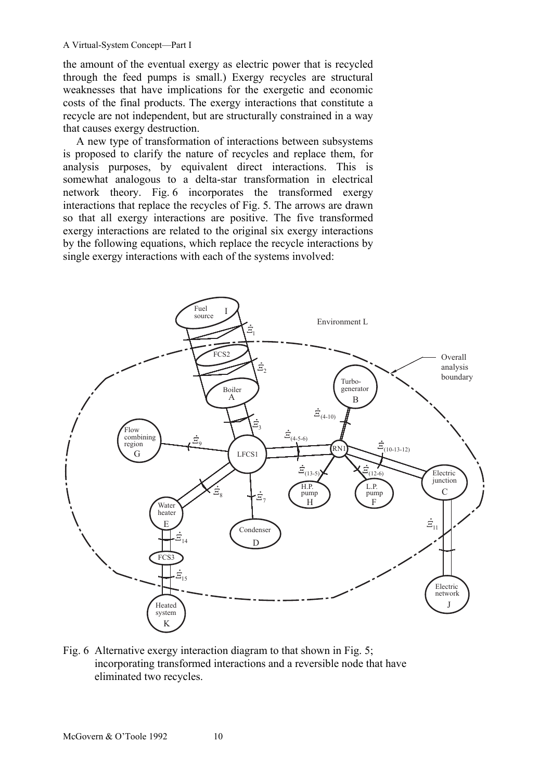the amount of the eventual exergy as electric power that is recycled through the feed pumps is small.) Exergy recycles are structural weaknesses that have implications for the exergetic and economic costs of the final products. The exergy interactions that constitute a recycle are not independent, but are structurally constrained in a way that causes exergy destruction.

A new type of transformation of interactions between subsystems is proposed to clarify the nature of recycles and replace them, for analysis purposes, by equivalent direct interactions. This is somewhat analogous to a delta-star transformation in electrical network theory. Fig. 6 incorporates the transformed exergy interactions that replace the recycles of Fig. 5. The arrows are drawn so that all exergy interactions are positive. The five transformed exergy interactions are related to the original six exergy interactions by the following equations, which replace the recycle interactions by single exergy interactions with each of the systems involved:



Fig. 6 Alternative exergy interaction diagram to that shown in Fig. 5; incorporating transformed interactions and a reversible node that have eliminated two recycles.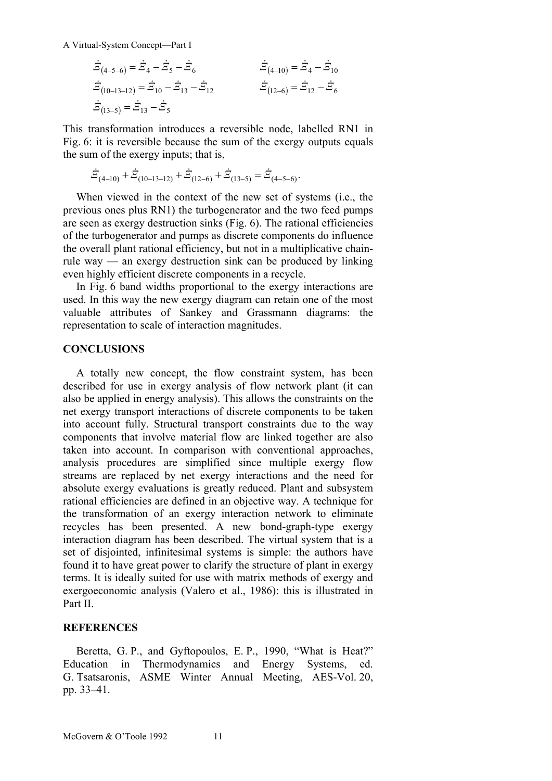$$
\begin{aligned}\n\dot{\Xi}_{(4-5-6)} &= \dot{\Xi}_4 - \dot{\Xi}_5 - \dot{\Xi}_6 & \dot{\Xi}_{(4-10)} &= \dot{\Xi}_4 - \dot{\Xi}_{10} \\
\dot{\Xi}_{(10-13-12)} &= \dot{\Xi}_{10} - \dot{\Xi}_{13} - \dot{\Xi}_{12} & \dot{\Xi}_{(12-6)} &= \dot{\Xi}_{12} - \dot{\Xi}_6 \\
\dot{\Xi}_{(13-5)} &= \dot{\Xi}_{13} - \dot{\Xi}_5\n\end{aligned}
$$

This transformation introduces a reversible node, labelled RN1 in Fig. 6: it is reversible because the sum of the exergy outputs equals the sum of the exergy inputs; that is,

$$
\dot{\vec{E}}_{(4-10)} + \dot{\vec{E}}_{(10-13-12)} + \dot{\vec{E}}_{(12-6)} + \dot{\vec{E}}_{(13-5)} = \dot{\vec{E}}_{(4-5-6)}.
$$

When viewed in the context of the new set of systems (i.e., the previous ones plus RN1) the turbogenerator and the two feed pumps are seen as exergy destruction sinks (Fig. 6). The rational efficiencies of the turbogenerator and pumps as discrete components do influence the overall plant rational efficiency, but not in a multiplicative chainrule way — an exergy destruction sink can be produced by linking even highly efficient discrete components in a recycle.

In Fig. 6 band widths proportional to the exergy interactions are used. In this way the new exergy diagram can retain one of the most valuable attributes of Sankey and Grassmann diagrams: the representation to scale of interaction magnitudes.

#### **CONCLUSIONS**

A totally new concept, the flow constraint system, has been described for use in exergy analysis of flow network plant (it can also be applied in energy analysis). This allows the constraints on the net exergy transport interactions of discrete components to be taken into account fully. Structural transport constraints due to the way components that involve material flow are linked together are also taken into account. In comparison with conventional approaches, analysis procedures are simplified since multiple exergy flow streams are replaced by net exergy interactions and the need for absolute exergy evaluations is greatly reduced. Plant and subsystem rational efficiencies are defined in an objective way. A technique for the transformation of an exergy interaction network to eliminate recycles has been presented. A new bond-graph-type exergy interaction diagram has been described. The virtual system that is a set of disjointed, infinitesimal systems is simple: the authors have found it to have great power to clarify the structure of plant in exergy terms. It is ideally suited for use with matrix methods of exergy and exergoeconomic analysis (Valero et al., 1986): this is illustrated in Part II.

#### **REFERENCES**

Beretta, G. P., and Gyftopoulos, E. P., 1990, "What is Heat?" Education in Thermodynamics and Energy Systems, ed. G. Tsatsaronis, ASME Winter Annual Meeting, AES-Vol. 20, pp. 33–41.